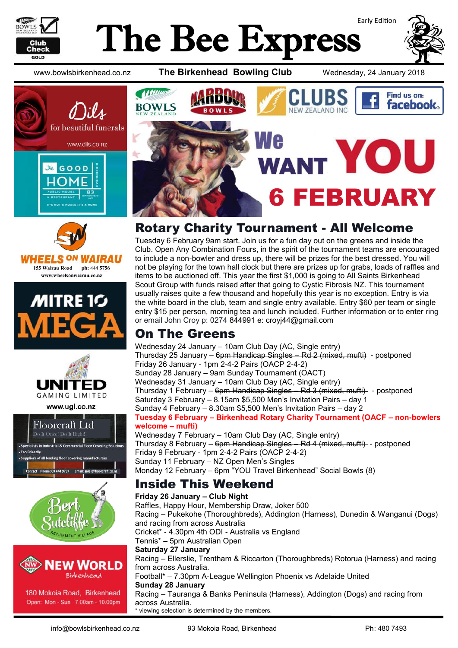

# Early Edition The Bee Express



www.bowlsbirkenhead.co.nz **The Birkenhead Bowling Club** Wednesday, 24 January 2018









www.ugl.co.nz







180 Mokoia Road, Birkenhead Open: Mon - Sun 7.00am - 10.00pm



## Rotary Charity Tournament - All Welcome

Tuesday 6 February 9am start. Join us for a fun day out on the greens and inside the Club. Open Any Combination Fours, in the spirit of the tournament teams are encouraged to include a non-bowler and dress up, there will be prizes for the best dressed. You will not be playing for the town hall clock but there are prizes up for grabs, loads of raffles and items to be auctioned off. This year the first \$1,000 is going to All Saints Birkenhead Scout Group with funds raised after that going to Cystic Fibrosis NZ. This tournament usually raises quite a few thousand and hopefully this year is no exception. Entry is via the white board in the club, team and single entry available. Entry \$60 per team or single entry \$15 per person, morning tea and lunch included. Further information or to enter ring or email John Croy p: 0274 844991 e: [croyj44@gmail.com](mailto:croyj44@gmail.com)

#### On The Greens

Wednesday 24 January – 10am Club Day (AC, Single entry) Thursday 25 January – 6pm Handicap Singles – Rd 2 (mixed, mufti) - postponed Friday 26 January - 1pm 2-4-2 Pairs (OACP 2-4-2) Sunday 28 January – 9am Sunday Tournament (OACT) Wednesday 31 January – 10am Club Day (AC, Single entry) Thursday 1 February – 6pm Handicap Singles – Rd 3 (mixed, mufti) - postponed Saturday 3 February – 8.15am \$5,500 Men's Invitation Pairs – day 1 Sunday 4 February – 8.30am \$5,500 Men's Invitation Pairs – day 2 **Tuesday 6 February – Birkenhead Rotary Charity Tournament (OACF – non-bowlers welcome – mufti)** Wednesday 7 February – 10am Club Day (AC, Single entry) Thursday 8 February – 6pm Handicap Singles – Rd 4 (mixed, mufti) - postponed Friday 9 February - 1pm 2-4-2 Pairs (OACP 2-4-2) Sunday 11 February – NZ Open Men's Singles Monday 12 February – 6pm "YOU Travel Birkenhead" Social Bowls (8)

### Inside This Weekend

**Friday 26 January – Club Night**  Raffles, Happy Hour, Membership Draw, Joker 500 Racing – Pukekohe (Thoroughbreds), Addington (Harness), Dunedin & Wanganui (Dogs) and racing from across Australia Cricket\* - 4.30pm 4th ODI - Australia vs England Tennis\* – 5pm Australian Open **Saturday 27 January**  Racing – Ellerslie, Trentham & Riccarton (Thoroughbreds) Rotorua (Harness) and racing from across Australia. Football\* – 7.30pm A-League Wellington Phoenix vs Adelaide United **Sunday 28 January**  Racing – Tauranga & Banks Peninsula (Harness), Addington (Dogs) and racing from across Australia. \* viewing selection is determined by the members.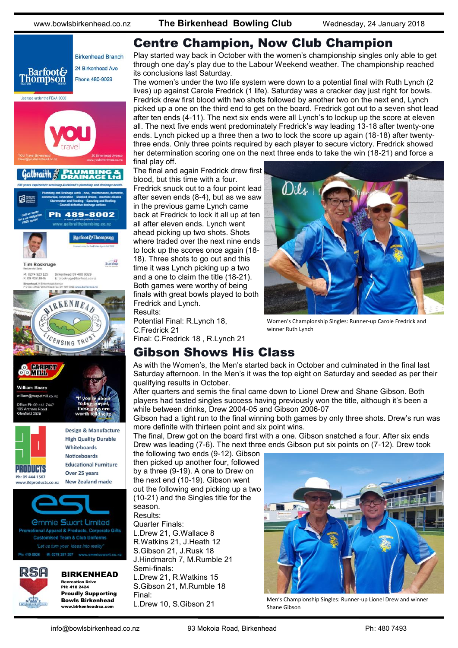

**Birkenhead Branch** 24 Birkenhead Ave **Barfoot& Thompson** Phone 480-9029 Licensed under the REAA 2008 Galbraith 2 489-8002 **Barfoot&Thompson Tim Roskruge** Birkenhead 09 480 9029<br>E: troskruge@barfoot.co M: 0274 923 125<br>P: 09 418 3846 Birkenhead 24 B **The Read** M. IRKENHEA ENSING TRUS CHINESE **OOKITH William Beare** @carpetmill.co.na ce Ph 09:441 7447 field 0620 Design & Manufacture **High Quality Durable** Whiteboards **Noticeboards Educational Furniture PRODUCTS** Over 25 years Ph: 09 444 1567 **New Zealand made** www.3dproducts.co.nz *<u>Ommie Swart Limited</u>* otional Apparel & Products, Corporate Gifts **Customised Team & Club Uniforms** 



BIRKENHEAD Recreation Drive PH: 418 2424 Proudly Supporting Bowls Birkenhead

www.birkenheadrsa.com

Play started way back in October with the women's championship singles only able to get through one day's play due to the Labour Weekend weather. The championship reached its conclusions last Saturday.

The women's under the two life system were down to a potential final with Ruth Lynch (2 lives) up against Carole Fredrick (1 life). Saturday was a cracker day just right for bowls. Fredrick drew first blood with two shots followed by another two on the next end, Lynch picked up a one on the third end to get on the board. Fredrick got out to a seven shot lead after ten ends (4-11). The next six ends were all Lynch's to lockup up the score at eleven all. The next five ends went predominately Fredrick's way leading 13-18 after twenty-one ends. Lynch picked up a three then a two to lock the score up again (18-18) after twentythree ends. Only three points required by each player to secure victory. Fredrick showed her determination scoring one on the next three ends to take the win (18-21) and force a final play off.

The final and again Fredrick drew first blood, but this time with a four. Fredrick snuck out to a four point lead after seven ends (8-4), but as we saw in the previous game Lynch came back at Fredrick to lock it all up at ten all after eleven ends. Lynch went ahead picking up two shots. Shots where traded over the next nine ends to lock up the scores once again (18- 18). Three shots to go out and this time it was Lynch picking up a two and a one to claim the title (18-21). Both games were worthy of being finals with great bowls played to both Fredrick and Lynch. Results:

Potential Final: R.Lynch 18, C.Fredrick 21 Final: C.Fredrick 18 , R.Lynch 21



Women's Championship Singles: Runner-up Carole Fredrick and winner Ruth Lynch

#### Gibson Shows His Class

As with the Women's, the Men's started back in October and culminated in the final last Saturday afternoon. In the Men's it was the top eight on Saturday and seeded as per their qualifying results in October.

After quarters and semis the final came down to Lionel Drew and Shane Gibson. Both players had tasted singles success having previously won the title, although it's been a while between drinks, Drew 2004-05 and Gibson 2006-07

Gibson had a tight run to the final winning both games by only three shots. Drew's run was more definite with thirteen point and six point wins.

The final, Drew got on the board first with a one. Gibson snatched a four. After six ends Drew was leading (7-6). The next three ends Gibson put six points on (7-12). Drew took

the following two ends (9-12). Gibson then picked up another four, followed by a three (9-19). A one to Drew on the next end (10-19). Gibson went out the following end picking up a two (10-21) and the Singles title for the season.

Results:

Quarter Finals:

L.Drew 21, G.Wallace 8 R.Watkins 21, J.Heath 12 S.Gibson 21, J.Rusk 18 J.Hindmarch 7, M.Rumble 21 Semi-finals: L.Drew 21, R.Watkins 15 S.Gibson 21, M.Rumble 18 Final:<br>L.Drew 10, S.Gibson 21



Men's Championship Singles: Runner-up Lionel Drew and winner Shane Gibson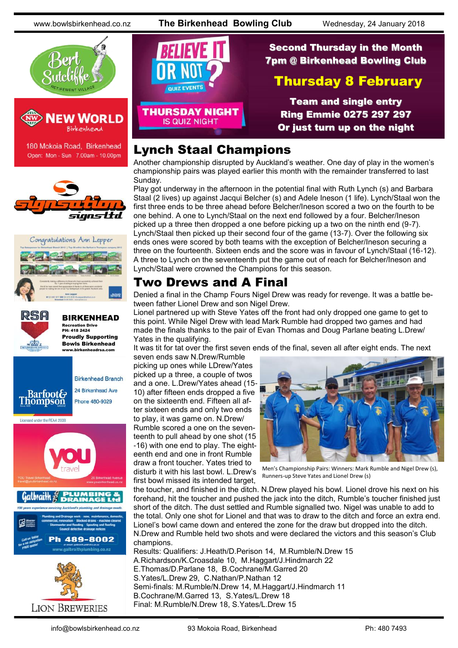www.bowlsbirkenhead.co.nz **The Birkenhead Bowling Club** Wednesday, 24 January 2018





180 Mokoia Road, Birkenhead Open: Mon - Sun 7.00am - 10.00pm











Second Thursday in the Month QUIZ EVENTS **THURSDAY NIGHT IS QUIZ NIGHT** 

## 7pm @ Birkenhead Bowling Club Thursday 8 February

Team and single entry Ring Emmie 0275 297 297 Or just turn up on the night

#### Lynch Staal Champions

Another championship disrupted by Auckland's weather. One day of play in the women's championship pairs was played earlier this month with the remainder transferred to last Sunday.

Play got underway in the afternoon in the potential final with Ruth Lynch (s) and Barbara Staal (2 lives) up against Jacqui Belcher (s) and Adele Ineson (1 life). Lynch/Staal won the first three ends to be three ahead before Belcher/Ineson scored a two on the fourth to be one behind. A one to Lynch/Staal on the next end followed by a four. Belcher/Ineson picked up a three then dropped a one before picking up a two on the ninth end (9-7). Lynch/Staal then picked up their second four of the game (13-7). Over the following six ends ones were scored by both teams with the exception of Belcher/Ineson securing a three on the fourteenth. Sixteen ends and the score was in favour of Lynch/Staal (16-12). A three to Lynch on the seventeenth put the game out of reach for Belcher/Ineson and Lynch/Staal were crowned the Champions for this season.

#### Two Drews and A Final

Denied a final in the Champ Fours Nigel Drew was ready for revenge. It was a battle between father Lionel Drew and son Nigel Drew.

Lionel partnered up with Steve Yates off the front had only dropped one game to get to this point. While Nigel Drew with lead Mark Rumble had dropped two games and had made the finals thanks to the pair of Evan Thomas and Doug Parlane beating L.Drew/ Yates in the qualifying.

It was tit for tat over the first seven ends of the final, seven all after eight ends. The next

seven ends saw N.Drew/Rumble picking up ones while LDrew/Yates picked up a three, a couple of twos and a one. L.Drew/Yates ahead (15- 10) after fifteen ends dropped a five on the sixteenth end. Fifteen all after sixteen ends and only two ends to play, it was game on. N.Drew/ Rumble scored a one on the seventeenth to pull ahead by one shot (15 -16) with one end to play. The eighteenth end and one in front Rumble draw a front toucher. Yates tried to disturb it with his last bowl. L.Drew's first bowl missed its intended target,



Men's Championship Pairs: Winners: Mark Rumble and Nigel Drew (s), Runners-up Steve Yates and Lionel Drew (s)

the toucher, and finished in the ditch. N.Drew played his bowl. Lionel drove his next on his forehand, hit the toucher and pushed the jack into the ditch, Rumble's toucher finished just short of the ditch. The dust settled and Rumble signalled two. Nigel was unable to add to the total. Only one shot for Lionel and that was to draw to the ditch and force an extra end. Lionel's bowl came down and entered the zone for the draw but dropped into the ditch. N.Drew and Rumble held two shots and were declared the victors and this season's Club champions.

Results: Qualifiers: J.Heath/D.Perison 14, M.Rumble/N.Drew 15 A.Richardson/K.Croasdale 10, M.Haggart/J.Hindmarch 22 E.Thomas/D.Parlane 18, B.Cochrane/M.Garred 20 S.Yates/L.Drew 29, C.Nathan/P.Nathan 12 Semi-finals: M.Rumble/N.Drew 14, M.Haggart/J.Hindmarch 11 B.Cochrane/M.Garred 13, S.Yates/L.Drew 18 Final: M.Rumble/N.Drew 18, S.Yates/L.Drew 15